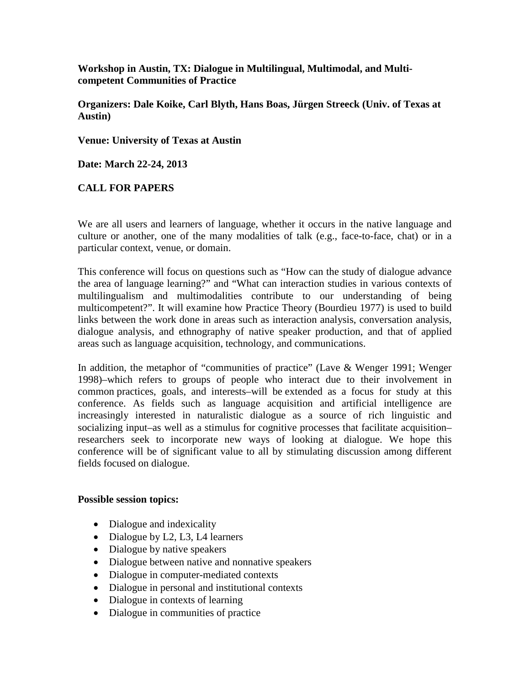**Workshop in Austin, TX: Dialogue in Multilingual, Multimodal, and Multicompetent Communities of Practice**

**Organizers: Dale Koike, Carl Blyth, Hans Boas, Jürgen Streeck (Univ. of Texas at Austin)**

**Venue: University of Texas at Austin** 

**Date: March 22-24, 2013**

## **CALL FOR PAPERS**

We are all users and learners of language, whether it occurs in the native language and culture or another, one of the many modalities of talk (e.g., face-to-face, chat) or in a particular context, venue, or domain.

This conference will focus on questions such as "How can the study of dialogue advance the area of language learning?" and "What can interaction studies in various contexts of multilingualism and multimodalities contribute to our understanding of being multicompetent?". It will examine how Practice Theory (Bourdieu 1977) is used to build links between the work done in areas such as interaction analysis, conversation analysis, dialogue analysis, and ethnography of native speaker production, and that of applied areas such as language acquisition, technology, and communications.

In addition, the metaphor of "communities of practice" (Lave & Wenger 1991; Wenger 1998)–which refers to groups of people who interact due to their involvement in common practices, goals, and interests–will be extended as a focus for study at this conference. As fields such as language acquisition and artificial intelligence are increasingly interested in naturalistic dialogue as a source of rich linguistic and socializing input–as well as a stimulus for cognitive processes that facilitate acquisition– researchers seek to incorporate new ways of looking at dialogue. We hope this conference will be of significant value to all by stimulating discussion among different fields focused on dialogue.

### **Possible session topics:**

- Dialogue and indexicality
- Dialogue by L2, L3, L4 learners
- Dialogue by native speakers
- Dialogue between native and nonnative speakers
- Dialogue in computer-mediated contexts
- Dialogue in personal and institutional contexts
- Dialogue in contexts of learning
- Dialogue in communities of practice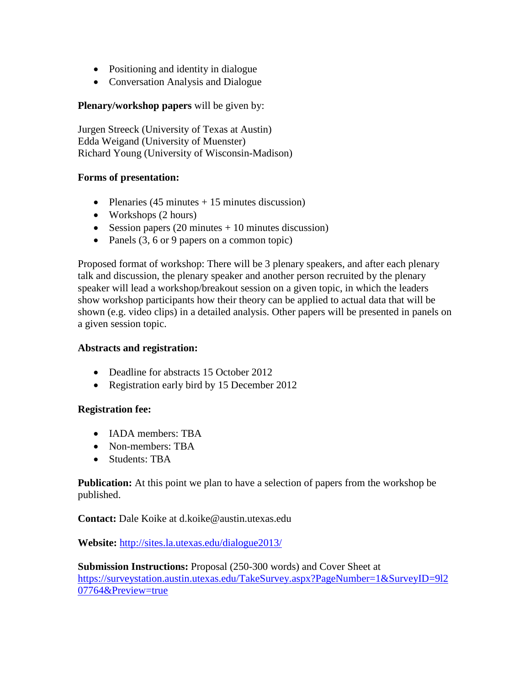- Positioning and identity in dialogue
- Conversation Analysis and Dialogue

# **Plenary/workshop papers** will be given by:

Jurgen Streeck (University of Texas at Austin) Edda Weigand (University of Muenster) Richard Young (University of Wisconsin-Madison)

## **Forms of presentation:**

- Plenaries  $(45 \text{ minutes} + 15 \text{ minutes} \text{ discussion})$
- Workshops (2 hours)
- Session papers  $(20 \text{ minutes} + 10 \text{ minutes} \text{ discussion})$
- Panels (3, 6 or 9 papers on a common topic)

Proposed format of workshop: There will be 3 plenary speakers, and after each plenary talk and discussion, the plenary speaker and another person recruited by the plenary speaker will lead a workshop/breakout session on a given topic, in which the leaders show workshop participants how their theory can be applied to actual data that will be shown (e.g. video clips) in a detailed analysis. Other papers will be presented in panels on a given session topic.

## **Abstracts and registration:**

- Deadline for abstracts 15 October 2012
- Registration early bird by 15 December 2012

## **Registration fee:**

- IADA members: TBA
- Non-members: TBA
- Students: TBA

**Publication:** At this point we plan to have a selection of papers from the workshop be published.

## **Contact:** Dale Koike at d.koike@austin.utexas.edu

**Website:** <http://sites.la.utexas.edu/dialogue2013/>

**Submission Instructions:** Proposal (250-300 words) and Cover Sheet at [https://surveystation.austin.utexas.edu/TakeSurvey.aspx?PageNumber=1&SurveyID=9l2](https://surveystation.austin.utexas.edu/TakeSurvey.aspx?PageNumber=1&SurveyID=9l207764&Preview=true) [07764&Preview=true](https://surveystation.austin.utexas.edu/TakeSurvey.aspx?PageNumber=1&SurveyID=9l207764&Preview=true)